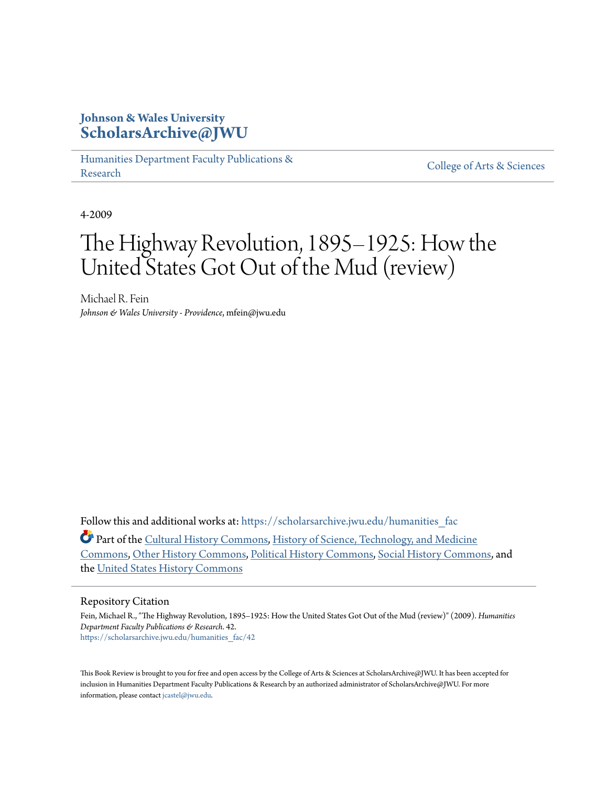# **Johnson & Wales University [ScholarsArchive@JWU](https://scholarsarchive.jwu.edu?utm_source=scholarsarchive.jwu.edu%2Fhumanities_fac%2F42&utm_medium=PDF&utm_campaign=PDFCoverPages)**

[Humanities Department Faculty Publications &](https://scholarsarchive.jwu.edu/humanities_fac?utm_source=scholarsarchive.jwu.edu%2Fhumanities_fac%2F42&utm_medium=PDF&utm_campaign=PDFCoverPages) rumanties Department Pacifity Publications & [College of Arts & Sciences](https://scholarsarchive.jwu.edu/arts_sciences?utm_source=scholarsarchive.jwu.edu%2Fhumanities_fac%2F42&utm_medium=PDF&utm_campaign=PDFCoverPages)

4-2009

# The Highway Revolution, 1895–1925: How the United States Got Out of the Mud (review)

Michael R. Fein *Johnson & Wales University - Providence*, mfein@jwu.edu

Follow this and additional works at: https://scholarsarchive.jwu.edu/humanities fac

Part of the [Cultural History Commons,](http://network.bepress.com/hgg/discipline/496?utm_source=scholarsarchive.jwu.edu%2Fhumanities_fac%2F42&utm_medium=PDF&utm_campaign=PDFCoverPages) [History of Science, Technology, and Medicine](http://network.bepress.com/hgg/discipline/500?utm_source=scholarsarchive.jwu.edu%2Fhumanities_fac%2F42&utm_medium=PDF&utm_campaign=PDFCoverPages) [Commons,](http://network.bepress.com/hgg/discipline/500?utm_source=scholarsarchive.jwu.edu%2Fhumanities_fac%2F42&utm_medium=PDF&utm_campaign=PDFCoverPages) [Other History Commons,](http://network.bepress.com/hgg/discipline/508?utm_source=scholarsarchive.jwu.edu%2Fhumanities_fac%2F42&utm_medium=PDF&utm_campaign=PDFCoverPages) [Political History Commons](http://network.bepress.com/hgg/discipline/505?utm_source=scholarsarchive.jwu.edu%2Fhumanities_fac%2F42&utm_medium=PDF&utm_campaign=PDFCoverPages), [Social History Commons,](http://network.bepress.com/hgg/discipline/506?utm_source=scholarsarchive.jwu.edu%2Fhumanities_fac%2F42&utm_medium=PDF&utm_campaign=PDFCoverPages) and the [United States History Commons](http://network.bepress.com/hgg/discipline/495?utm_source=scholarsarchive.jwu.edu%2Fhumanities_fac%2F42&utm_medium=PDF&utm_campaign=PDFCoverPages)

## Repository Citation

Fein, Michael R., "The Highway Revolution, 1895–1925: How the United States Got Out of the Mud (review)" (2009). *Humanities Department Faculty Publications & Research*. 42. [https://scholarsarchive.jwu.edu/humanities\\_fac/42](https://scholarsarchive.jwu.edu/humanities_fac/42?utm_source=scholarsarchive.jwu.edu%2Fhumanities_fac%2F42&utm_medium=PDF&utm_campaign=PDFCoverPages)

This Book Review is brought to you for free and open access by the College of Arts & Sciences at ScholarsArchive@JWU. It has been accepted for inclusion in Humanities Department Faculty Publications & Research by an authorized administrator of ScholarsArchive@JWU. For more information, please contact [jcastel@jwu.edu.](mailto:jcastel@jwu.edu)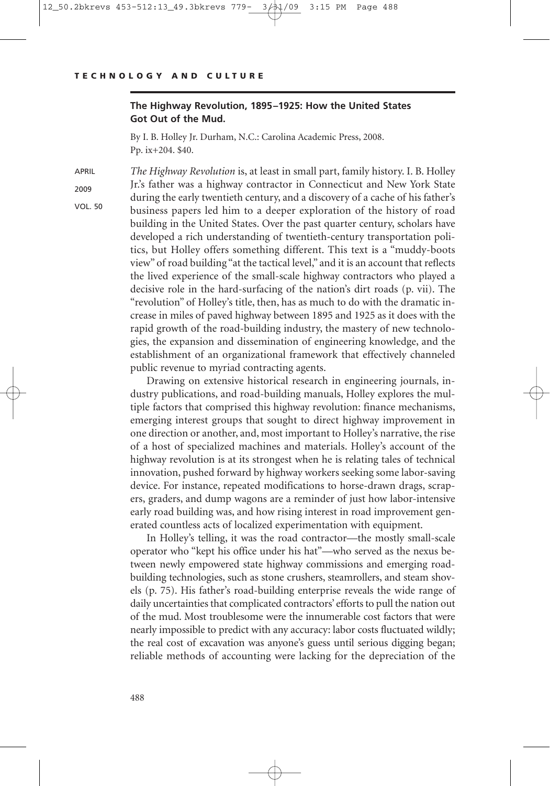### **The Highway Revolution, 1895–1925: How the United States Got Out of the Mud.**

By I. B. Holley Jr. Durham, N.C.: Carolina Academic Press, 2008. Pp. ix+204. \$40.

APRIL

2009

VOL. 50

Jr.'s father was a highway contractor in Connecticut and New York State during the early twentieth century, and a discovery of a cache of his father's business papers led him to a deeper exploration of the history of road building in the United States. Over the past quarter century, scholars have developed a rich understanding of twentieth-century transportation politics, but Holley offers something different. This text is a "muddy-boots view" of road building "at the tactical level," and it is an account that reflects the lived experience of the small-scale highway contractors who played a decisive role in the hard-surfacing of the nation's dirt roads (p. vii). The "revolution" of Holley's title, then, has as much to do with the dramatic increase in miles of paved highway between 1895 and 1925 as it does with the rapid growth of the road-building industry, the mastery of new technologies, the expansion and dissemination of engineering knowledge, and the establishment of an organizational framework that effectively channeled public revenue to myriad contracting agents.

*The Highway Revolution* is, at least in small part, family history. I. B. Holley

Drawing on extensive historical research in engineering journals, industry publications, and road-building manuals, Holley explores the multiple factors that comprised this highway revolution: finance mechanisms, emerging interest groups that sought to direct highway improvement in one direction or another, and, most important to Holley's narrative, the rise of a host of specialized machines and materials. Holley's account of the highway revolution is at its strongest when he is relating tales of technical innovation, pushed forward by highway workers seeking some labor-saving device. For instance, repeated modifications to horse-drawn drags, scrapers, graders, and dump wagons are a reminder of just how labor-intensive early road building was, and how rising interest in road improvement generated countless acts of localized experimentation with equipment.

In Holley's telling, it was the road contractor—the mostly small-scale operator who "kept his office under his hat"—who served as the nexus between newly empowered state highway commissions and emerging roadbuilding technologies, such as stone crushers, steamrollers, and steam shovels (p. 75). His father's road-building enterprise reveals the wide range of daily uncertainties that complicated contractors' efforts to pull the nation out of the mud. Most troublesome were the innumerable cost factors that were nearly impossible to predict with any accuracy: labor costs fluctuated wildly; the real cost of excavation was anyone's guess until serious digging began; reliable methods of accounting were lacking for the depreciation of the